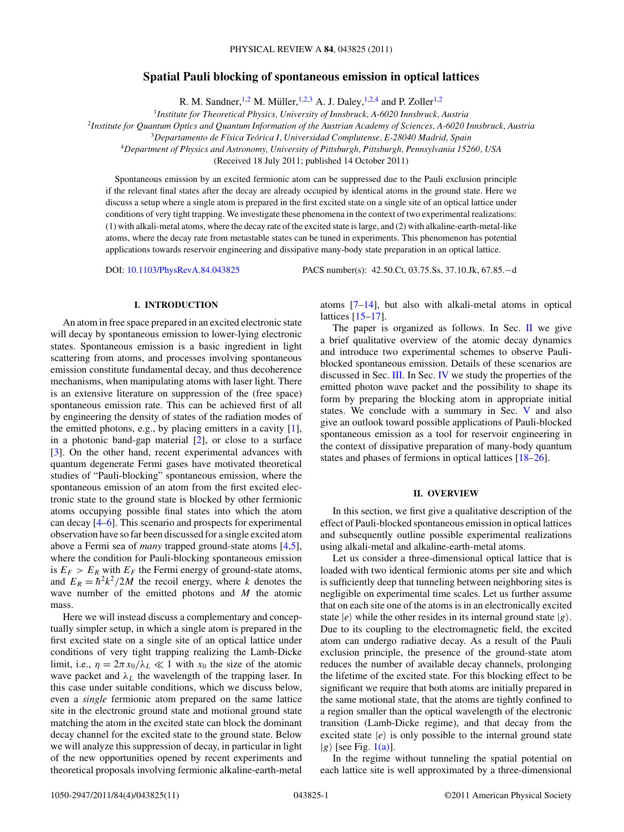# **Spatial Pauli blocking of spontaneous emission in optical lattices**

R. M. Sandner, <sup>1,2</sup> M. Müller, <sup>1,2,3</sup> A. J. Daley, <sup>1,2,4</sup> and P. Zoller<sup>1,2</sup>

<sup>1</sup>*Institute for Theoretical Physics, University of Innsbruck, A-6020 Innsbruck, Austria*

<sup>2</sup>*Institute for Quantum Optics and Quantum Information of the Austrian Academy of Sciences, A-6020 Innsbruck, Austria*

<sup>3</sup>*Departamento de F´ısica Teorica I, Universidad Complutense, E-28040 Madrid, Spain ´*

<sup>4</sup>*Department of Physics and Astronomy, University of Pittsburgh, Pittsburgh, Pennsylvania 15260, USA*

(Received 18 July 2011; published 14 October 2011)

Spontaneous emission by an excited fermionic atom can be suppressed due to the Pauli exclusion principle if the relevant final states after the decay are already occupied by identical atoms in the ground state. Here we discuss a setup where a single atom is prepared in the first excited state on a single site of an optical lattice under conditions of very tight trapping. We investigate these phenomena in the context of two experimental realizations: (1) with alkali-metal atoms, where the decay rate of the excited state is large, and (2) with alkaline-earth-metal-like atoms, where the decay rate from metastable states can be tuned in experiments. This phenomenon has potential applications towards reservoir engineering and dissipative many-body state preparation in an optical lattice.

DOI: [10.1103/PhysRevA.84.043825](http://dx.doi.org/10.1103/PhysRevA.84.043825) PACS number(s): 42*.*50*.*Ct, 03*.*75*.*Ss, 37*.*10*.*Jk, 67*.*85*.*−d

## **I. INTRODUCTION**

An atom in free space prepared in an excited electronic state will decay by spontaneous emission to lower-lying electronic states. Spontaneous emission is a basic ingredient in light scattering from atoms, and processes involving spontaneous emission constitute fundamental decay, and thus decoherence mechanisms, when manipulating atoms with laser light. There is an extensive literature on suppression of the (free space) spontaneous emission rate. This can be achieved first of all by engineering the density of states of the radiation modes of the emitted photons, e.g., by placing emitters in a cavity [\[1\]](#page-10-0), in a photonic band-gap material [\[2\]](#page-10-0), or close to a surface [\[3\]](#page-10-0). On the other hand, recent experimental advances with quantum degenerate Fermi gases have motivated theoretical studies of "Pauli-blocking" spontaneous emission, where the spontaneous emission of an atom from the first excited electronic state to the ground state is blocked by other fermionic atoms occupying possible final states into which the atom can decay [\[4–6\]](#page-10-0). This scenario and prospects for experimental observation have so far been discussed for a single excited atom above a Fermi sea of *many* trapped ground-state atoms [\[4,5\]](#page-10-0), where the condition for Pauli-blocking spontaneous emission is  $E_F > E_R$  with  $E_F$  the Fermi energy of ground-state atoms, and  $E_R = \hbar^2 k^2 / 2M$  the recoil energy, where *k* denotes the wave number of the emitted photons and *M* the atomic mass.

Here we will instead discuss a complementary and conceptually simpler setup, in which a single atom is prepared in the first excited state on a single site of an optical lattice under conditions of very tight trapping realizing the Lamb-Dicke limit, i.e.,  $\eta = 2\pi x_0/\lambda_L \ll 1$  with  $x_0$  the size of the atomic wave packet and  $\lambda_L$  the wavelength of the trapping laser. In this case under suitable conditions, which we discuss below, even a *single* fermionic atom prepared on the same lattice site in the electronic ground state and motional ground state matching the atom in the excited state can block the dominant decay channel for the excited state to the ground state. Below we will analyze this suppression of decay, in particular in light of the new opportunities opened by recent experiments and theoretical proposals involving fermionic alkaline-earth-metal

atoms [\[7–14\]](#page-10-0), but also with alkali-metal atoms in optical lattices [\[15–17\]](#page-10-0).

The paper is organized as follows. In Sec.  $\mathbf{II}$  we give a brief qualitative overview of the atomic decay dynamics and introduce two experimental schemes to observe Pauliblocked spontaneous emission. Details of these scenarios are discussed in Sec. [III.](#page-3-0) In Sec. [IV](#page-7-0) we study the properties of the emitted photon wave packet and the possibility to shape its form by preparing the blocking atom in appropriate initial states. We conclude with a summary in Sec. [V](#page-8-0) and also give an outlook toward possible applications of Pauli-blocked spontaneous emission as a tool for reservoir engineering in the context of dissipative preparation of many-body quantum states and phases of fermions in optical lattices [\[18–26\]](#page-10-0).

### **II. OVERVIEW**

In this section, we first give a qualitative description of the effect of Pauli-blocked spontaneous emission in optical lattices and subsequently outline possible experimental realizations using alkali-metal and alkaline-earth-metal atoms.

Let us consider a three-dimensional optical lattice that is loaded with two identical fermionic atoms per site and which is sufficiently deep that tunneling between neighboring sites is negligible on experimental time scales. Let us further assume that on each site one of the atoms is in an electronically excited state  $|e\rangle$  while the other resides in its internal ground state  $|g\rangle$ . Due to its coupling to the electromagnetic field, the excited atom can undergo radiative decay. As a result of the Pauli exclusion principle, the presence of the ground-state atom reduces the number of available decay channels, prolonging the lifetime of the excited state. For this blocking effect to be significant we require that both atoms are initially prepared in the same motional state, that the atoms are tightly confined to a region smaller than the optical wavelength of the electronic transition (Lamb-Dicke regime), and that decay from the excited state  $|e\rangle$  is only possible to the internal ground state  $|g\rangle$  [see Fig. [1\(a\)\]](#page-1-0).

In the regime without tunneling the spatial potential on each lattice site is well approximated by a three-dimensional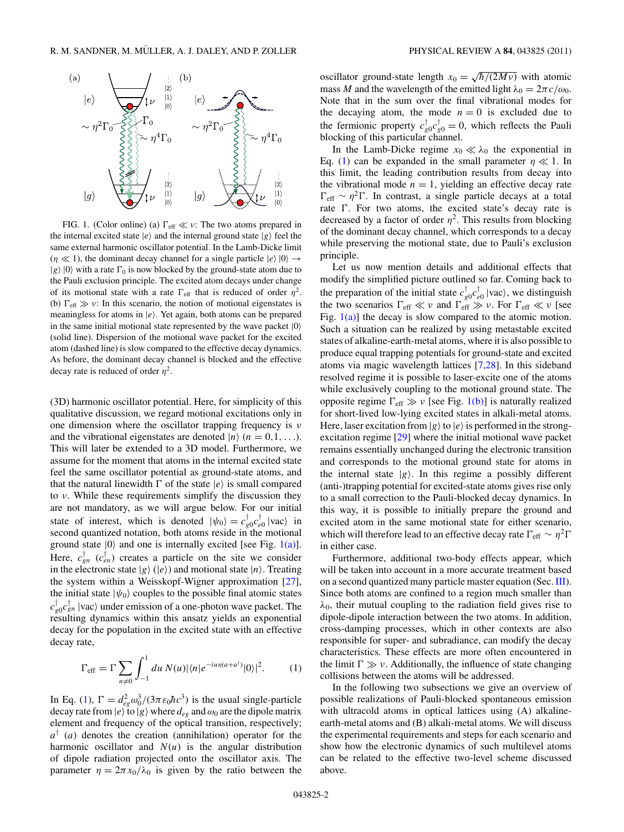<span id="page-1-0"></span>

FIG. 1. (Color online) (a)  $\Gamma_{\text{eff}} \ll \nu$ : The two atoms prepared in the internal excited state  $|e\rangle$  and the internal ground state  $|g\rangle$  feel the same external harmonic oscillator potential. In the Lamb-Dicke limit  $(\eta \ll 1)$ , the dominant decay channel for a single particle  $|e\rangle |0\rangle \rightarrow$  $|g\rangle|0\rangle$  with a rate  $\Gamma_0$  is now blocked by the ground-state atom due to the Pauli exclusion principle. The excited atom decays under change of its motional state with a rate  $\Gamma_{\text{eff}}$  that is reduced of order  $\eta^2$ . (b)  $\Gamma_{\text{eff}} \gg \nu$ : In this scenario, the notion of motional eigenstates is meaningless for atoms in  $|e\rangle$ . Yet again, both atoms can be prepared in the same initial motional state represented by the wave packet  $|0\rangle$ (solid line). Dispersion of the motional wave packet for the excited atom (dashed line) is slow compared to the effective decay dynamics. As before, the dominant decay channel is blocked and the effective decay rate is reduced of order  $\eta^2$ .

(3D) harmonic oscillator potential. Here, for simplicity of this qualitative discussion, we regard motional excitations only in one dimension where the oscillator trapping frequency is *ν* and the vibrational eigenstates are denoted  $|n\rangle$   $(n = 0, 1, \ldots)$ . This will later be extended to a 3D model. Furthermore, we assume for the moment that atoms in the internal excited state feel the same oscillator potential as ground-state atoms, and that the natural linewidth  $\Gamma$  of the state  $|e\rangle$  is small compared to *ν*. While these requirements simplify the discussion they are not mandatory, as we will argue below. For our initial state of interest, which is denoted  $|\psi_0\rangle = c_{g0}^\dagger c_{e0}^\dagger |\text{vac}\rangle$  in second quantized notation, both atoms reside in the motional ground state  $|0\rangle$  and one is internally excited [see Fig. 1(a)]. Here,  $c_{gn}^{\dagger}$  ( $c_{en}^{\dagger}$ ) creates a particle on the site we consider in the electronic state  $|g\rangle$  ( $|e\rangle$ ) and motional state  $|n\rangle$ . Treating the system within a Weisskopf-Wigner approximation [\[27\]](#page-10-0), the initial state  $|\psi_0\rangle$  couples to the possible final atomic states  $c_{g0}^{\dagger}c_{gn}^{\dagger}$  |vac) under emission of a one-photon wave packet. The resulting dynamics within this ansatz yields an exponential decay for the population in the excited state with an effective decay rate,

$$
\Gamma_{\rm eff} = \Gamma \sum_{n \neq 0} \int_{-1}^{1} du \, N(u) |\langle n| e^{-iu\eta(a+a^{\dagger})} |0\rangle|^2.
$$
 (1)

In Eq. (1),  $\Gamma = d_{eg}^2 \omega_0^3 / (3\pi \varepsilon_0 \hbar c^3)$  is the usual single-particle decay rate from  $|e\rangle$  to  $|g\rangle$  where  $d_{ee}$  and  $\omega_0$  are the dipole matrix element and frequency of the optical transition, respectively;  $a^{\dagger}$  (*a*) denotes the creation (annihilation) operator for the harmonic oscillator and  $N(u)$  is the angular distribution of dipole radiation projected onto the oscillator axis. The parameter  $\eta = 2\pi x_0/\lambda_0$  is given by the ratio between the

oscillator ground-state length  $x_0 = \sqrt{\hbar/(2M\nu)}$  with atomic mass *M* and the wavelength of the emitted light  $\lambda_0 = 2\pi c/\omega_0$ . Note that in the sum over the final vibrational modes for the decaying atom, the mode  $n = 0$  is excluded due to the fermionic property  $c_{g0}^{\dagger}c_{g0}^{\dagger}=0$ , which reflects the Pauli blocking of this particular channel.

In the Lamb-Dicke regime  $x_0 \ll \lambda_0$  the exponential in Eq. (1) can be expanded in the small parameter  $\eta \ll 1$ . In this limit, the leading contribution results from decay into the vibrational mode  $n = 1$ , yielding an effective decay rate  $\Gamma_{\text{eff}} \sim \eta^2 \Gamma$ . In contrast, a single particle decays at a total rate  $\Gamma$ . For two atoms, the excited state's decay rate is decreased by a factor of order  $\eta^2$ . This results from blocking of the dominant decay channel, which corresponds to a decay while preserving the motional state, due to Pauli's exclusion principle.

Let us now mention details and additional effects that modify the simplified picture outlined so far. Coming back to the preparation of the initial state  $c_{g0}^{\dagger}c_{e0}^{\dagger}$  |vac), we distinguish the two scenarios  $\Gamma_{\text{eff}} \ll v$  and  $\Gamma_{\text{eff}} \gg v$ . For  $\Gamma_{\text{eff}} \ll v$  [see Fig.  $1(a)$ ] the decay is slow compared to the atomic motion. Such a situation can be realized by using metastable excited states of alkaline-earth-metal atoms, where it is also possible to produce equal trapping potentials for ground-state and excited atoms via magic wavelength lattices [\[7,28\]](#page-10-0). In this sideband resolved regime it is possible to laser-excite one of the atoms while exclusively coupling to the motional ground state. The opposite regime  $\Gamma_{\text{eff}} \gg v$  [see Fig. 1(b)] is naturally realized for short-lived low-lying excited states in alkali-metal atoms. Here, laser excitation from  $|g\rangle$  to  $|e\rangle$  is performed in the strongexcitation regime [\[29\]](#page-10-0) where the initial motional wave packet remains essentially unchanged during the electronic transition and corresponds to the motional ground state for atoms in the internal state  $|g\rangle$ . In this regime a possibly different (anti-)trapping potential for excited-state atoms gives rise only to a small correction to the Pauli-blocked decay dynamics. In this way, it is possible to initially prepare the ground and excited atom in the same motional state for either scenario, which will therefore lead to an effective decay rate  $\Gamma_{\text{eff}} \sim \eta^2 \Gamma$ in either case.

Furthermore, additional two-body effects appear, which will be taken into account in a more accurate treatment based on a second quantized many particle master equation (Sec. [III\)](#page-3-0). Since both atoms are confined to a region much smaller than  $\lambda_0$ , their mutual coupling to the radiation field gives rise to dipole-dipole interaction between the two atoms. In addition, cross-damping processes, which in other contexts are also responsible for super- and subradiance, can modify the decay characteristics. These effects are more often encountered in the limit  $\Gamma \gg \nu$ . Additionally, the influence of state changing collisions between the atoms will be addressed.

In the following two subsections we give an overview of possible realizations of Pauli-blocked spontaneous emission with ultracold atoms in optical lattices using (A) alkalineearth-metal atoms and (B) alkali-metal atoms. We will discuss the experimental requirements and steps for each scenario and show how the electronic dynamics of such multilevel atoms can be related to the effective two-level scheme discussed above.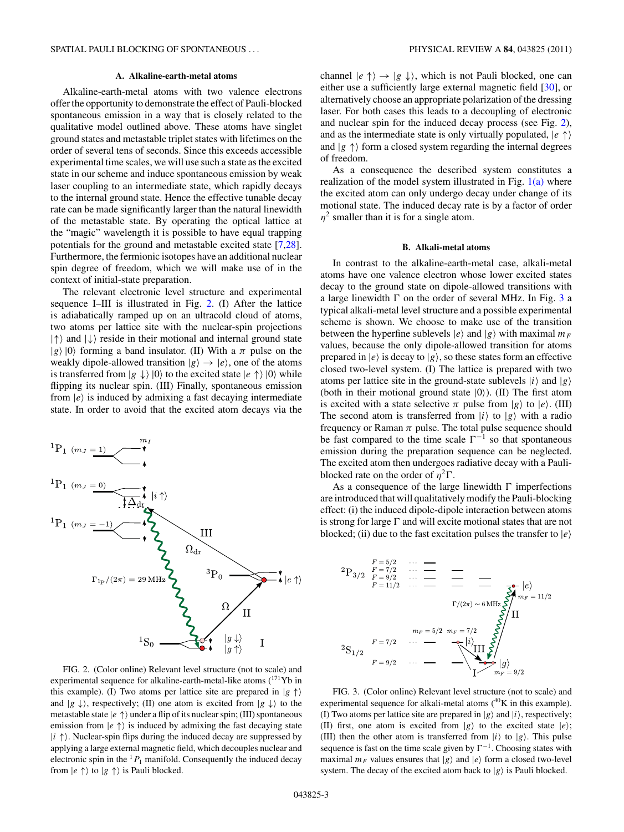#### **A. Alkaline-earth-metal atoms**

<span id="page-2-0"></span>Alkaline-earth-metal atoms with two valence electrons offer the opportunity to demonstrate the effect of Pauli-blocked spontaneous emission in a way that is closely related to the qualitative model outlined above. These atoms have singlet ground states and metastable triplet states with lifetimes on the order of several tens of seconds. Since this exceeds accessible experimental time scales, we will use such a state as the excited state in our scheme and induce spontaneous emission by weak laser coupling to an intermediate state, which rapidly decays to the internal ground state. Hence the effective tunable decay rate can be made significantly larger than the natural linewidth of the metastable state. By operating the optical lattice at the "magic" wavelength it is possible to have equal trapping potentials for the ground and metastable excited state [\[7,28\]](#page-10-0). Furthermore, the fermionic isotopes have an additional nuclear spin degree of freedom, which we will make use of in the context of initial-state preparation.

The relevant electronic level structure and experimental sequence I–III is illustrated in Fig. 2. (I) After the lattice is adiabatically ramped up on an ultracold cloud of atoms, two atoms per lattice site with the nuclear-spin projections  $|\uparrow\rangle$  and  $|\downarrow\rangle$  reside in their motional and internal ground state  $|g\rangle|0\rangle$  forming a band insulator. (II) With a  $\pi$  pulse on the weakly dipole-allowed transition  $|g\rangle \rightarrow |e\rangle$ , one of the atoms is transferred from  $|g \downarrow \rangle |0\rangle$  to the excited state  $|e \uparrow \rangle |0\rangle$  while flipping its nuclear spin. (III) Finally, spontaneous emission from  $|e\rangle$  is induced by admixing a fast decaying intermediate state. In order to avoid that the excited atom decays via the



FIG. 2. (Color online) Relevant level structure (not to scale) and experimental sequence for alkaline-earth-metal-like atoms (<sup>171</sup>Yb in this example). (I) Two atoms per lattice site are prepared in  $|g \uparrow\rangle$ and  $|g \downarrow\rangle$ , respectively; (II) one atom is excited from  $|g \downarrow\rangle$  to the metastable state  $|e \uparrow\rangle$  under a flip of its nuclear spin; (III) spontaneous emission from  $|e \uparrow\rangle$  is induced by admixing the fast decaying state  $|i \uparrow \rangle$ . Nuclear-spin flips during the induced decay are suppressed by applying a large external magnetic field, which decouples nuclear and electronic spin in the  ${}^{1}P_1$  manifold. Consequently the induced decay from  $|e \uparrow \rangle$  to  $|g \uparrow \rangle$  is Pauli blocked.

channel  $|e \uparrow\rangle \rightarrow |g \downarrow\rangle$ , which is not Pauli blocked, one can either use a sufficiently large external magnetic field [\[30\]](#page-10-0), or alternatively choose an appropriate polarization of the dressing laser. For both cases this leads to a decoupling of electronic and nuclear spin for the induced decay process (see Fig. 2), and as the intermediate state is only virtually populated, |*e* ↑ and  $|g \uparrow \rangle$  form a closed system regarding the internal degrees of freedom.

As a consequence the described system constitutes a realization of the model system illustrated in Fig.  $1(a)$  where the excited atom can only undergo decay under change of its motional state. The induced decay rate is by a factor of order  $\eta^2$  smaller than it is for a single atom.

## **B. Alkali-metal atoms**

In contrast to the alkaline-earth-metal case, alkali-metal atoms have one valence electron whose lower excited states decay to the ground state on dipole-allowed transitions with a large linewidth  $\Gamma$  on the order of several MHz. In Fig. 3 a typical alkali-metal level structure and a possible experimental scheme is shown. We choose to make use of the transition between the hyperfine sublevels  $|e\rangle$  and  $|g\rangle$  with maximal  $m_F$ values, because the only dipole-allowed transition for atoms prepared in  $|e\rangle$  is decay to  $|g\rangle$ , so these states form an effective closed two-level system. (I) The lattice is prepared with two atoms per lattice site in the ground-state sublevels  $|i\rangle$  and  $|g\rangle$ (both in their motional ground state  $|0\rangle$ ). (II) The first atom is excited with a state selective  $\pi$  pulse from  $|g\rangle$  to  $|e\rangle$ . (III) The second atom is transferred from  $|i\rangle$  to  $|g\rangle$  with a radio frequency or Raman *π* pulse. The total pulse sequence should be fast compared to the time scale  $\Gamma^{-1}$  so that spontaneous emission during the preparation sequence can be neglected. The excited atom then undergoes radiative decay with a Pauliblocked rate on the order of  $\eta^2 \Gamma$ .

As a consequence of the large linewidth  $\Gamma$  imperfections are introduced that will qualitatively modify the Pauli-blocking effect: (i) the induced dipole-dipole interaction between atoms is strong for large  $\Gamma$  and will excite motional states that are not blocked; (ii) due to the fast excitation pulses the transfer to  $|e\rangle$ 

$$
{}^{2}P_{3/2} \xrightarrow{F=5/2} \cdots \xrightarrow{F=11/2} \cdots \xrightarrow{F=11/2} \xrightarrow{F=11/2} \cdots \xrightarrow{F=11/2} \xrightarrow{F=7/2} \cdots \xrightarrow{F=7/2} \underbrace{F=7/2} \xrightarrow{m_{F}=5/2} \underbrace{m_{F}=7/2} \underbrace{S}_{\text{max}} |E\rangle
$$
\n
$$
{}^{2}S_{1/2} \xrightarrow{F=9/2} \cdots \xrightarrow{F=9/2} \underbrace{S}_{\text{max}} |g\rangle
$$

FIG. 3. (Color online) Relevant level structure (not to scale) and experimental sequence for alkali-metal atoms  $(^{40}K$  in this example). (I) Two atoms per lattice site are prepared in  $|g\rangle$  and  $|i\rangle$ , respectively; (II) first, one atom is excited from  $|g\rangle$  to the excited state  $|e\rangle$ ; (III) then the other atom is transferred from  $|i\rangle$  to  $|g\rangle$ . This pulse sequence is fast on the time scale given by  $\Gamma^{-1}$ . Choosing states with maximal  $m_F$  values ensures that  $|g\rangle$  and  $|e\rangle$  form a closed two-level system. The decay of the excited atom back to  $|g\rangle$  is Pauli blocked.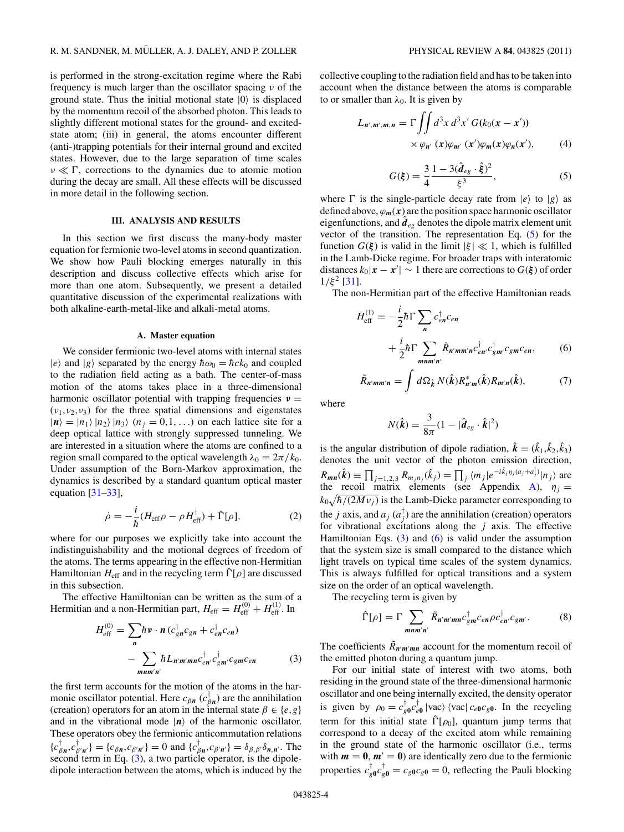<span id="page-3-0"></span>is performed in the strong-excitation regime where the Rabi frequency is much larger than the oscillator spacing *ν* of the ground state. Thus the initial motional state  $|0\rangle$  is displaced by the momentum recoil of the absorbed photon. This leads to slightly different motional states for the ground- and excitedstate atom; (iii) in general, the atoms encounter different (anti-)trapping potentials for their internal ground and excited states. However, due to the large separation of time scales  $ν \ll Γ$ , corrections to the dynamics due to atomic motion during the decay are small. All these effects will be discussed in more detail in the following section.

### **III. ANALYSIS AND RESULTS**

In this section we first discuss the many-body master equation for fermionic two-level atoms in second quantization. We show how Pauli blocking emerges naturally in this description and discuss collective effects which arise for more than one atom. Subsequently, we present a detailed quantitative discussion of the experimental realizations with both alkaline-earth-metal-like and alkali-metal atoms.

### **A. Master equation**

We consider fermionic two-level atoms with internal states  $|e\rangle$  and  $|g\rangle$  separated by the energy  $\hbar\omega_0 = \hbar c k_0$  and coupled to the radiation field acting as a bath. The center-of-mass motion of the atoms takes place in a three-dimensional harmonic oscillator potential with trapping frequencies *ν* =  $(v_1, v_2, v_3)$  for the three spatial dimensions and eigenstates  $|n\rangle = |n_1\rangle |n_2\rangle |n_3\rangle$  ( $n_j = 0,1,...$ ) on each lattice site for a deep optical lattice with strongly suppressed tunneling. We are interested in a situation where the atoms are confined to a region small compared to the optical wavelength  $\lambda_0 = 2\pi/k_0$ . Under assumption of the Born-Markov approximation, the dynamics is described by a standard quantum optical master equation [\[31–33\]](#page-10-0),

$$
\dot{\rho} = -\frac{i}{\hbar} (H_{\text{eff}} \rho - \rho H_{\text{eff}}^{\dagger}) + \hat{\Gamma}[\rho], \tag{2}
$$

where for our purposes we explicitly take into account the indistinguishability and the motional degrees of freedom of the atoms. The terms appearing in the effective non-Hermitian Hamiltonian  $H_{\text{eff}}$  and in the recycling term  $\hat{\Gamma}[\rho]$  are discussed in this subsection.

The effective Hamiltonian can be written as the sum of a Hermitian and a non-Hermitian part,  $H_{\text{eff}} = H_{\text{eff}}^{(0)} + H_{\text{eff}}^{(1)}$ . In

$$
H_{\text{eff}}^{(0)} = \sum_{n} \hbar v \cdot n (c_{gn}^{\dagger} c_{gn} + c_{en}^{\dagger} c_{en})
$$

$$
- \sum_{mnm'n'} \hbar L_{n'm'mn} c_{en}^{\dagger} c_{gm'}^{\dagger} c_{gm} c_{en}
$$
(3)

the first term accounts for the motion of the atoms in the harmonic oscillator potential. Here  $c_{\beta n}$  ( $c_{\beta n}^{\dagger}$ ) are the annihilation (creation) operators for an atom in the internal state  $\beta \in \{e, g\}$ and in the vibrational mode  $|n\rangle$  of the harmonic oscillator. These operators obey the fermionic anticommutation relations  ${c}_{\beta n}^{\dagger}$ ,  ${c}_{\beta' n'}^{\dagger}$  =  ${c}_{\beta n}$ ,  $c_{\beta' n'}$  = 0 and  ${c}_{\beta n}^{\dagger}$ ,  $c_{\beta' n'}$  =  $\delta_{\beta,\beta'}\delta_{n,n'}$ . The second term in Eq. (3), a two particle operator, is the dipoledipole interaction between the atoms, which is induced by the collective coupling to the radiation field and has to be taken into account when the distance between the atoms is comparable to or smaller than  $\lambda_0$ . It is given by

$$
L_{n',m',m,n} = \Gamma \iint d^3x \, d^3x' \, G(k_0(\mathbf{x} - \mathbf{x}'))
$$
  
 
$$
\times \varphi_{n'}(\mathbf{x}) \varphi_{m'}(\mathbf{x}') \varphi_m(\mathbf{x}) \varphi_n(\mathbf{x}'), \qquad (4)
$$

$$
G(\xi) = \frac{3}{4} \frac{1 - 3(\hat{d}_{eg} \cdot \hat{\xi})^2}{\xi^3},
$$
 (5)

where  $\Gamma$  is the single-particle decay rate from  $|e\rangle$  to  $|g\rangle$  as defined above,  $\varphi_m(x)$  are the position space harmonic oscillator eigenfunctions, and  $\hat{d}_{eg}$  denotes the dipole matrix element unit vector of the transition. The representation Eq. (5) for the function  $G(\xi)$  is valid in the limit  $|\xi| \ll 1$ , which is fulfilled in the Lamb-Dicke regime. For broader traps with interatomic distances  $k_0|x - x'| \sim 1$  there are corrections to  $G(\xi)$  of order  $1/\xi^2$  [\[31\]](#page-10-0).

The non-Hermitian part of the effective Hamiltonian reads

$$
H_{\text{eff}}^{(1)} = -\frac{i}{2}\hbar\Gamma\sum_{n} c_{en}^{\dagger}c_{en}
$$
  
+  $\frac{i}{2}\hbar\Gamma\sum_{mnm'n'}\tilde{R}_{n'mm'n}c_{en'}^{\dagger}c_{gm}^{\dagger}c_{em},$  (6)

$$
\tilde{R}_{n'mm'n} = \int d\Omega_{\hat{k}} N(\hat{k}) R_{n'm}^*(\hat{k}) R_{m'n}(\hat{k}), \qquad (7)
$$

where

$$
N(\hat{\mathbf{k}}) = \frac{3}{8\pi} (1 - |\hat{\boldsymbol{d}}_{eg} \cdot \hat{\boldsymbol{k}}|^2)
$$

is the angular distribution of dipole radiation,  $\hat{\mathbf{k}} = (\hat{k}_1, \hat{k}_2, \hat{k}_3)$ denotes the unit vector of the photon emission direction,  $R_{mn}(\hat{k}) \equiv \prod_{j=1,2,3} R_{m_j n_j}(\hat{k}_j) = \prod_j \langle m_j | e^{-i\hat{k}_j \eta_j (a_j + a_j^{\dagger})} | n_j \rangle$  are the recoil matrix elements (see Appendix [A\)](#page-9-0),  $\eta_j =$  $k_0\sqrt{\hbar/(2Mv_j)}$  is the Lamb-Dicke parameter corresponding to the *j* axis, and  $a_j$  ( $a_j^{\dagger}$ ) are the annihilation (creation) operators for vibrational excitations along the *j* axis. The effective Hamiltonian Eqs.  $(3)$  and  $(6)$  is valid under the assumption that the system size is small compared to the distance which light travels on typical time scales of the system dynamics. This is always fulfilled for optical transitions and a system size on the order of an optical wavelength.

The recycling term is given by

$$
\hat{\Gamma}[\rho] = \Gamma \sum_{mnm'n'} \tilde{R}_{n'm'mnc} \, \dot{I}_{gm} c_{en} \rho c_{en}^{\dagger} c_{gm'}.
$$
 (8)

The coefficients  $\tilde{R}_{n'm'mn}$  account for the momentum recoil of the emitted photon during a quantum jump.

For our initial state of interest with two atoms, both residing in the ground state of the three-dimensional harmonic oscillator and one being internally excited, the density operator is given by  $\rho_0 = c_{g0}^{\dagger} c_{e0}^{\dagger}$  |vac)  $\langle$  vac|  $c_{e0} c_{g0}$ . In the recycling term for this initial state  $\hat{\Gamma}[\rho_0]$ , quantum jump terms that correspond to a decay of the excited atom while remaining in the ground state of the harmonic oscillator (i.e., terms with  $m = 0$ ,  $m' = 0$ ) are identically zero due to the fermionic properties  $c_{g0}^{\dagger}c_{g0}^{\dagger} = c_{g0}c_{g0} = 0$ , reflecting the Pauli blocking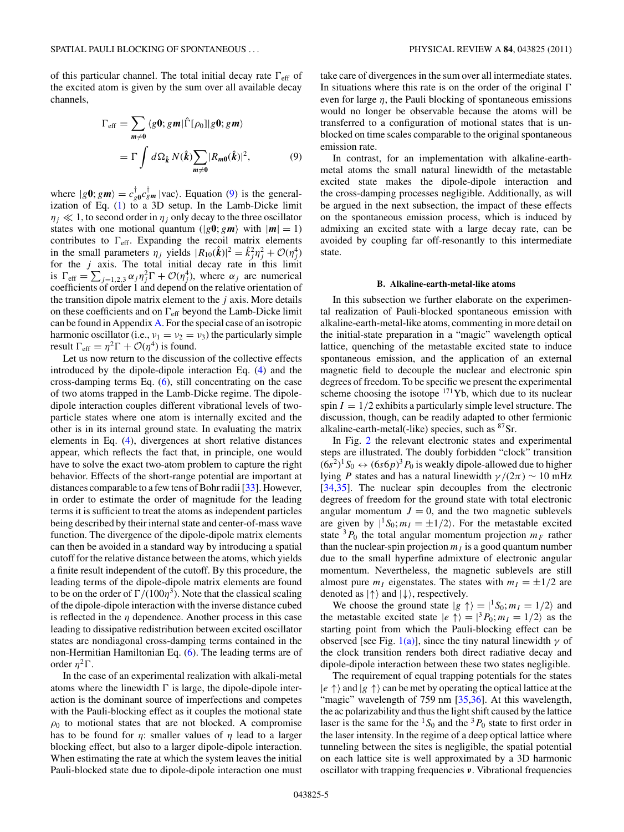<span id="page-4-0"></span>of this particular channel. The total initial decay rate  $\Gamma_{\text{eff}}$  of the excited atom is given by the sum over all available decay channels,

$$
\Gamma_{\text{eff}} = \sum_{m \neq 0} \langle g0; gm | \hat{\Gamma}[\rho_0] | g0; gm \rangle
$$
  
= 
$$
\Gamma \int d\Omega_{\hat{k}} N(\hat{k}) \sum_{m \neq 0} |R_{m0}(\hat{k})|^2,
$$
 (9)

where  $|g\mathbf{0}; g\mathbf{m}\rangle = c_{g\mathbf{0}}^{\mathsf{T}}c_{g\mathbf{m}}^{\mathsf{T}}|vac\rangle$ . Equation (9) is the generalization of Eq. [\(1\)](#page-1-0) to a 3D setup. In the Lamb-Dicke limit  $\eta_j \ll 1$ , to second order in  $\eta_j$  only decay to the three oscillator states with one motional quantum ( $|g\mathbf{0}; g\mathbf{m}\rangle$ ) with  $|\mathbf{m}| = 1$ ) contributes to  $\Gamma_{\text{eff}}$ . Expanding the recoil matrix elements in the small parameters  $\eta_j$  yields  $|R_{10}(\hat{\boldsymbol{k}})|^2 = \hat{k}_j^2 \eta_j^2 + \mathcal{O}(\eta_j^4)$ for the  $j$  axis. The total initial decay rate in this limit is  $\Gamma_{\text{eff}} = \sum_{j=1,2,3} \alpha_j \eta_j^2 \Gamma + \mathcal{O}(\eta_j^4)$ , where  $\alpha_j$  are numerical coefficients of order 1 and depend on the relative orientation of the transition dipole matrix element to the *j* axis. More details on these coefficients and on  $\Gamma_{\text{eff}}$  beyond the Lamb-Dicke limit can be found in Appendix [A.](#page-9-0) For the special case of an isotropic harmonic oscillator (i.e.,  $v_1 = v_2 = v_3$ ) the particularly simple result  $\Gamma_{\text{eff}} = \eta^2 \Gamma + \mathcal{O}(\eta^4)$  is found.

Let us now return to the discussion of the collective effects introduced by the dipole-dipole interaction Eq. [\(4\)](#page-3-0) and the cross-damping terms Eq. [\(6\)](#page-3-0), still concentrating on the case of two atoms trapped in the Lamb-Dicke regime. The dipoledipole interaction couples different vibrational levels of twoparticle states where one atom is internally excited and the other is in its internal ground state. In evaluating the matrix elements in Eq. [\(4\)](#page-3-0), divergences at short relative distances appear, which reflects the fact that, in principle, one would have to solve the exact two-atom problem to capture the right behavior. Effects of the short-range potential are important at distances comparable to a few tens of Bohr radii [\[33\]](#page-10-0). However, in order to estimate the order of magnitude for the leading terms it is sufficient to treat the atoms as independent particles being described by their internal state and center-of-mass wave function. The divergence of the dipole-dipole matrix elements can then be avoided in a standard way by introducing a spatial cutoff for the relative distance between the atoms, which yields a finite result independent of the cutoff. By this procedure, the leading terms of the dipole-dipole matrix elements are found to be on the order of  $\Gamma/(100\eta^3)$ . Note that the classical scaling of the dipole-dipole interaction with the inverse distance cubed is reflected in the  $\eta$  dependence. Another process in this case leading to dissipative redistribution between excited oscillator states are nondiagonal cross-damping terms contained in the non-Hermitian Hamiltonian Eq. [\(6\)](#page-3-0). The leading terms are of order  $η<sup>2</sup>Γ$ .

In the case of an experimental realization with alkali-metal atoms where the linewidth  $\Gamma$  is large, the dipole-dipole interaction is the dominant source of imperfections and competes with the Pauli-blocking effect as it couples the motional state  $\rho_0$  to motional states that are not blocked. A compromise has to be found for *η*: smaller values of *η* lead to a larger blocking effect, but also to a larger dipole-dipole interaction. When estimating the rate at which the system leaves the initial Pauli-blocked state due to dipole-dipole interaction one must take care of divergences in the sum over all intermediate states. In situations where this rate is on the order of the original  $\Gamma$ even for large *η*, the Pauli blocking of spontaneous emissions would no longer be observable because the atoms will be transferred to a configuration of motional states that is unblocked on time scales comparable to the original spontaneous emission rate.

In contrast, for an implementation with alkaline-earthmetal atoms the small natural linewidth of the metastable excited state makes the dipole-dipole interaction and the cross-damping processes negligible. Additionally, as will be argued in the next subsection, the impact of these effects on the spontaneous emission process, which is induced by admixing an excited state with a large decay rate, can be avoided by coupling far off-resonantly to this intermediate state.

# **B. Alkaline-earth-metal-like atoms**

In this subsection we further elaborate on the experimental realization of Pauli-blocked spontaneous emission with alkaline-earth-metal-like atoms, commenting in more detail on the initial-state preparation in a "magic" wavelength optical lattice, quenching of the metastable excited state to induce spontaneous emission, and the application of an external magnetic field to decouple the nuclear and electronic spin degrees of freedom. To be specific we present the experimental scheme choosing the isotope  $171\text{Yb}$ , which due to its nuclear spin  $I = 1/2$  exhibits a particularly simple level structure. The discussion, though, can be readily adapted to other fermionic alkaline-earth-metal(-like) species, such as <sup>87</sup>Sr.

In Fig. [2](#page-2-0) the relevant electronic states and experimental steps are illustrated. The doubly forbidden "clock" transition  $(6s^2)^1 S_0 \leftrightarrow (6s6p)^3 P_0$  is weakly dipole-allowed due to higher lying *P* states and has a natural linewidth  $\gamma/(2\pi) \sim 10 \text{ mHz}$ [\[34,35\]](#page-10-0). The nuclear spin decouples from the electronic degrees of freedom for the ground state with total electronic angular momentum  $J = 0$ , and the two magnetic sublevels are given by  $|{}^1S_0$ ;  $m_I = \pm 1/2$ ). For the metastable excited state  ${}^{3}P_{0}$  the total angular momentum projection  $m_{F}$  rather than the nuclear-spin projection  $m<sub>I</sub>$  is a good quantum number due to the small hyperfine admixture of electronic angular momentum. Nevertheless, the magnetic sublevels are still almost pure  $m<sub>I</sub>$  eigenstates. The states with  $m<sub>I</sub> = \pm 1/2$  are denoted as  $|\uparrow\rangle$  and  $|\downarrow\rangle$ , respectively.

We choose the ground state  $|g \uparrow\rangle = |^{1}S_0; m_I = 1/2$  and the metastable excited state  $|e \uparrow\rangle = |^{3}P_{0}; m_{I} = 1/2$  as the starting point from which the Pauli-blocking effect can be observed [see Fig.  $1(a)$ ], since the tiny natural linewidth  $\gamma$  of the clock transition renders both direct radiative decay and dipole-dipole interaction between these two states negligible.

The requirement of equal trapping potentials for the states  $|e \uparrow \rangle$  and  $|g \uparrow \rangle$  can be met by operating the optical lattice at the "magic" wavelength of 759 nm [\[35,36\]](#page-10-0). At this wavelength, the ac polarizability and thus the light shift caused by the lattice laser is the same for the <sup>1</sup>S<sub>0</sub> and the <sup>3</sup> $P_0$  state to first order in the laser intensity. In the regime of a deep optical lattice where tunneling between the sites is negligible, the spatial potential on each lattice site is well approximated by a 3D harmonic oscillator with trapping frequencies *ν*. Vibrational frequencies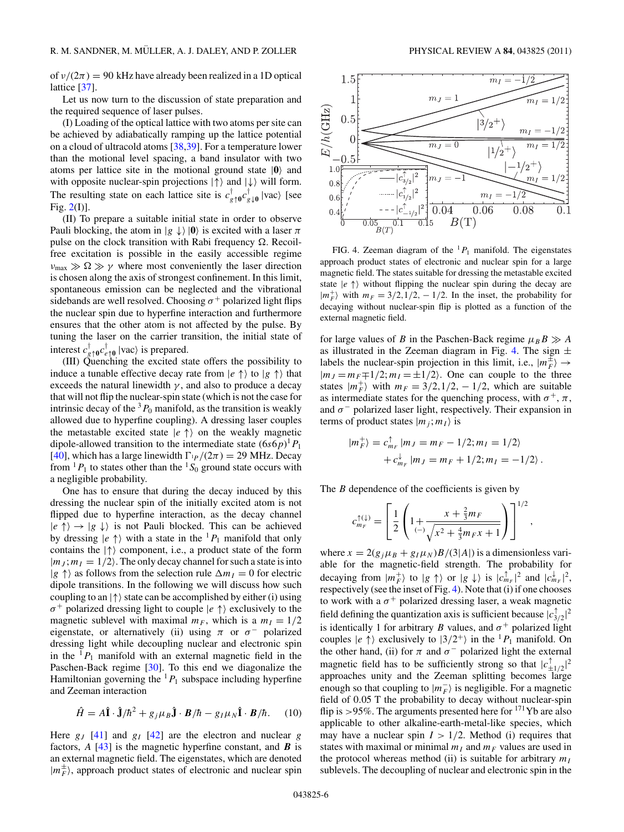<span id="page-5-0"></span>of  $\nu/(2\pi) = 90$  kHz have already been realized in a 1D optical lattice [\[37\]](#page-10-0).

Let us now turn to the discussion of state preparation and the required sequence of laser pulses.

(I) Loading of the optical lattice with two atoms per site can be achieved by adiabatically ramping up the lattice potential on a cloud of ultracold atoms [\[38,39\]](#page-10-0). For a temperature lower than the motional level spacing, a band insulator with two atoms per lattice site in the motional ground state  $|0\rangle$  and with opposite nuclear-spin projections  $|\uparrow\rangle$  and  $|\downarrow\rangle$  will form. The resulting state on each lattice site is  $c_{g\uparrow 0}^{\dagger}c_{g\downarrow 0}^{\dagger}$  |vac) [see Fig. [2\(](#page-2-0)I)].

(II) To prepare a suitable initial state in order to observe Pauli blocking, the atom in  $|g \downarrow \rangle$  |**0** is excited with a laser  $\pi$ pulse on the clock transition with Rabi frequency  $\Omega$ . Recoilfree excitation is possible in the easily accessible regime  $\nu_{\text{max}} \gg \Omega \gg \gamma$  where most conveniently the laser direction is chosen along the axis of strongest confinement. In this limit, spontaneous emission can be neglected and the vibrational sidebands are well resolved. Choosing  $\sigma^+$  polarized light flips the nuclear spin due to hyperfine interaction and furthermore ensures that the other atom is not affected by the pulse. By tuning the laser on the carrier transition, the initial state of interest  $c_{g\uparrow 0}^{\dagger}c_{e\uparrow 0}^{\dagger}$  |vac) is prepared.

(III) Quenching the excited state offers the possibility to induce a tunable effective decay rate from  $|e \uparrow \rangle$  to  $|g \uparrow \rangle$  that exceeds the natural linewidth  $\gamma$ , and also to produce a decay that will not flip the nuclear-spin state (which is not the case for intrinsic decay of the  ${}^{3}P_0$  manifold, as the transition is weakly allowed due to hyperfine coupling). A dressing laser couples the metastable excited state  $|e \uparrow\rangle$  on the weakly magnetic dipole-allowed transition to the intermediate state  $(6s6p)^{1}P_1$ [\[40\]](#page-10-0), which has a large linewidth  $\Gamma_{\text{IP}}/(2\pi) = 29 \text{ MHz}$ . Decay from  ${}^{1}P_1$  to states other than the  ${}^{1}S_0$  ground state occurs with a negligible probability.

One has to ensure that during the decay induced by this dressing the nuclear spin of the initially excited atom is not flipped due to hyperfine interaction, as the decay channel  $|e \uparrow\rangle \rightarrow |g \downarrow\rangle$  is not Pauli blocked. This can be achieved by dressing  $|e \uparrow\rangle$  with a state in the <sup>1</sup> $P_1$  manifold that only contains the  $|\uparrow\rangle$  component, i.e., a product state of the form  $|m_j; m_l = 1/2$ . The only decay channel for such a state is into  $|g \uparrow\rangle$  as follows from the selection rule  $\Delta m_I = 0$  for electric dipole transitions. In the following we will discuss how such coupling to an  $|\uparrow\rangle$  state can be accomplished by either (i) using *σ*<sup>+</sup> polarized dressing light to couple  $|e \uparrow\rangle$  exclusively to the magnetic sublevel with maximal  $m_F$ , which is a  $m_I = 1/2$ eigenstate, or alternatively (ii) using  $\pi$  or  $\sigma^-$  polarized dressing light while decoupling nuclear and electronic spin in the  ${}^{1}P_1$  manifold with an external magnetic field in the Paschen-Back regime [\[30\]](#page-10-0). To this end we diagonalize the Hamiltonian governing the  ${}^{1}P_1$  subspace including hyperfine and Zeeman interaction

$$
\hat{H} = A\hat{\mathbf{I}} \cdot \hat{\mathbf{J}}/\hbar^2 + g_j \mu_B \hat{\mathbf{J}} \cdot \mathbf{B}/\hbar - g_I \mu_N \hat{\mathbf{I}} \cdot \mathbf{B}/\hbar. \quad (10)
$$

Here  $g_J$  [\[41\]](#page-10-0) and  $g_I$  [\[42\]](#page-10-0) are the electron and nuclear  $g$ factors, *A* [\[43\]](#page-10-0) is the magnetic hyperfine constant, and *B* is an external magnetic field. The eigenstates, which are denoted  $|m_F^{\pm}\rangle$ , approach product states of electronic and nuclear spin



FIG. 4. Zeeman diagram of the  ${}^{1}P_1$  manifold. The eigenstates approach product states of electronic and nuclear spin for a large magnetic field. The states suitable for dressing the metastable excited state  $|e \uparrow\rangle$  without flipping the nuclear spin during the decay are  $|m_F^+|$  with  $m_F = 3/2, 1/2, -1/2$ . In the inset, the probability for decaying without nuclear-spin flip is plotted as a function of the external magnetic field.

for large values of *B* in the Paschen-Back regime  $\mu_B B \gg A$ as illustrated in the Zeeman diagram in Fig. 4. The sign  $\pm$ labels the nuclear-spin projection in this limit, i.e.,  $|m_F^{\pm}\rangle \rightarrow$  $|m_J = m_F \mp 1/2; m_I = \pm 1/2$ . One can couple to the three states  $|m_F^+|$  with  $m_F = 3/2, 1/2, -1/2$ , which are suitable as intermediate states for the quenching process, with  $\sigma^+$ ,  $\pi$ , and  $\sigma$ <sup>-</sup> polarized laser light, respectively. Their expansion in terms of product states  $|m_j; m_l\rangle$  is

$$
|m_F^+\rangle = c_{m_F}^{\uparrow} |m_J = m_F - 1/2; m_I = 1/2
$$
  
+  $c_{m_F}^{\downarrow} |m_J = m_F + 1/2; m_I = -1/2$ .

The *B* dependence of the coefficients is given by

$$
c_{m_F}^{\uparrow(\downarrow)} = \left[\frac{1}{2}\left(1 + \frac{x + \frac{2}{3}m_F}{\left(\frac{1}{2}\right)\sqrt{x^2 + \frac{4}{3}m_F x + 1}}\right)\right]^{1/2},
$$

where  $x = 2(g_i \mu_B + g_I \mu_N)B/(3|A|)$  is a dimensionless variable for the magnetic-field strength. The probability for decaying from  $|m_F^+|$  to  $|g \uparrow\rangle$  or  $|g \downarrow\rangle$  is  $|c_{m_F}^{\dagger}|^2$  and  $|c_{m_F}^{\dagger}|^2$ , respectively (see the inset of Fig. 4). Note that (i) if one chooses to work with a  $\sigma^+$  polarized dressing laser, a weak magnetic field defining the quantization axis is sufficient because  $|c_{3/2}^{\uparrow}|^2$ is identically 1 for arbitrary *B* values, and  $\sigma^+$  polarized light couples  $|e \uparrow\rangle$  exclusively to  $|3/2^+\rangle$  in the <sup>1</sup> $P_1$  manifold. On the other hand, (ii) for  $\pi$  and  $\sigma^-$  polarized light the external magnetic field has to be sufficiently strong so that  $|c_{\pm 1/2}^{\uparrow}|^2$ approaches unity and the Zeeman splitting becomes large enough so that coupling to  $|m_F^-|$  is negligible. For a magnetic field of 0*.*05 T the probability to decay without nuclear-spin flip is >95%. The arguments presented here for <sup>171</sup>Yb are also applicable to other alkaline-earth-metal-like species, which may have a nuclear spin  $I > 1/2$ . Method (i) requires that states with maximal or minimal  $m_I$  and  $m_F$  values are used in the protocol whereas method (ii) is suitable for arbitrary  $m<sub>I</sub>$ sublevels. The decoupling of nuclear and electronic spin in the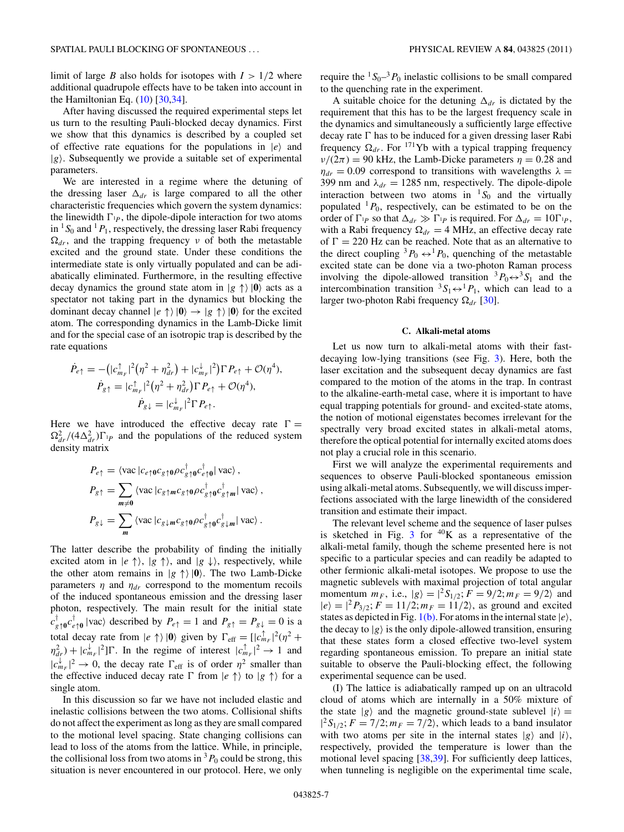limit of large *B* also holds for isotopes with  $I > 1/2$  where additional quadrupole effects have to be taken into account in the Hamiltonian Eq.  $(10)$  [\[30,34\]](#page-10-0).

After having discussed the required experimental steps let us turn to the resulting Pauli-blocked decay dynamics. First we show that this dynamics is described by a coupled set of effective rate equations for the populations in  $|e\rangle$  and  $|g\rangle$ . Subsequently we provide a suitable set of experimental parameters.

We are interested in a regime where the detuning of the dressing laser  $\Delta_{dr}$  is large compared to all the other characteristic frequencies which govern the system dynamics: the linewidth  $\Gamma_{1p}$ , the dipole-dipole interaction for two atoms in  ${}^{1}S_{0}$  and  ${}^{1}P_{1}$ , respectively, the dressing laser Rabi frequency  $\Omega_{dr}$ , and the trapping frequency *ν* of both the metastable excited and the ground state. Under these conditions the intermediate state is only virtually populated and can be adiabatically eliminated. Furthermore, in the resulting effective decay dynamics the ground state atom in  $|g \uparrow \rangle$   $|0\rangle$  acts as a spectator not taking part in the dynamics but blocking the dominant decay channel  $|e \uparrow \rangle |0\rangle \rightarrow |g \uparrow \rangle |0\rangle$  for the excited atom. The corresponding dynamics in the Lamb-Dicke limit and for the special case of an isotropic trap is described by the rate equations

$$
\dot{P}_{e\uparrow} = -\left(|c_{m_F}^{\uparrow}|^2(\eta^2 + \eta_{dr}^2) + |c_{m_F}^{\downarrow}|^2\right)\Gamma P_{e\uparrow} + \mathcal{O}(\eta^4),
$$
\n
$$
\dot{P}_{g\uparrow} = |c_{m_F}^{\uparrow}|^2(\eta^2 + \eta_{dr}^2)\Gamma P_{e\uparrow} + \mathcal{O}(\eta^4),
$$
\n
$$
\dot{P}_{g\downarrow} = |c_{m_F}^{\downarrow}|^2\Gamma P_{e\uparrow}.
$$

Here we have introduced the effective decay rate  $\Gamma =$  $\Omega_{dr}^2/(4\Delta_{dr}^2)\Gamma_{\varphi}$  and the populations of the reduced system density matrix

$$
P_{e\uparrow} = \langle \text{vac} | c_{e\uparrow 0} c_{g\uparrow 0} \rho c_{g\uparrow 0}^{\dagger} c_{e\uparrow 0}^{\dagger} | \text{ vac} \rangle ,
$$
  
\n
$$
P_{g\uparrow} = \sum_{m \neq 0} \langle \text{vac} | c_{g\uparrow m} c_{g\uparrow 0} \rho c_{g\uparrow 0}^{\dagger} c_{g\uparrow m}^{\dagger} | \text{ vac} \rangle ,
$$
  
\n
$$
P_{g\downarrow} = \sum_{m} \langle \text{vac} | c_{g\downarrow m} c_{g\uparrow 0} \rho c_{g\uparrow 0}^{\dagger} c_{g\downarrow m}^{\dagger} | \text{ vac} \rangle .
$$

The latter describe the probability of finding the initially excited atom in  $|e \uparrow \rangle$ ,  $|g \uparrow \rangle$ , and  $|g \downarrow \rangle$ , respectively, while the other atom remains in  $|g \uparrow \rangle |0\rangle$ . The two Lamb-Dicke parameters  $\eta$  and  $\eta_{dr}$  correspond to the momentum recoils of the induced spontaneous emission and the dressing laser photon, respectively. The main result for the initial state  $c_{g\uparrow 0}^{\dagger} c_{e\uparrow 0}^{\dagger}$  |vac) described by  $P_{e\uparrow} = 1$  and  $P_{g\uparrow} = P_{g\downarrow} = 0$  is a total decay rate from  $|e \rangle |0\rangle$  given by  $\Gamma_{\text{eff}} = [ |c_{m_F}^{\uparrow}|^2 (\eta^2 +$  $\eta_{dr}^2$ ) +  $|c_{m_F}^{\downarrow}|^2$ ] *C*. In the regime of interest  $|c_{m_F}^{\uparrow}|^2 \rightarrow 1$  and  $|c_{m_F}^{\downarrow}|^2 \rightarrow 0$ , the decay rate  $\Gamma_{\text{eff}}$  is of order  $\eta^2$  smaller than the effective induced decay rate  $\Gamma$  from  $|e \uparrow \rangle$  to  $|g \uparrow \rangle$  for a single atom.

In this discussion so far we have not included elastic and inelastic collisions between the two atoms. Collisional shifts do not affect the experiment as long as they are small compared to the motional level spacing. State changing collisions can lead to loss of the atoms from the lattice. While, in principle, the collisional loss from two atoms in  ${}^{3}P_0$  could be strong, this situation is never encountered in our protocol. Here, we only

require the  ${}^{1}S_{0}$ <sup>-3</sup> $P_{0}$  inelastic collisions to be small compared to the quenching rate in the experiment.

A suitable choice for the detuning  $\Delta_{dr}$  is dictated by the requirement that this has to be the largest frequency scale in the dynamics and simultaneously a sufficiently large effective decay rate  $\Gamma$  has to be induced for a given dressing laser Rabi frequency  $\Omega_{dr}$ . For <sup>171</sup>Yb with a typical trapping frequency  $\nu/(2\pi) = 90$  kHz, the Lamb-Dicke parameters  $\eta = 0.28$  and  $\eta_{dr} = 0.09$  correspond to transitions with wavelengths  $\lambda =$ 399 nm and  $\lambda_{dr} = 1285$  nm, respectively. The dipole-dipole interaction between two atoms in  ${}^{1}S_{0}$  and the virtually populated  ${}^{1}P_0$ , respectively, can be estimated to be on the order of  $\Gamma_{P}$  so that  $\Delta_{dr} \gg \Gamma_{P}$  is required. For  $\Delta_{dr} = 10 \Gamma_{P}$ , with a Rabi frequency  $\Omega_{dr} = 4$  MHz, an effective decay rate of  $\Gamma = 220$  Hz can be reached. Note that as an alternative to the direct coupling  ${}^{3}P_0 \leftrightarrow {}^{1}P_0$ , quenching of the metastable excited state can be done via a two-photon Raman process involving the dipole-allowed transition  ${}^3P_0 \leftrightarrow {}^3S_1$  and the intercombination transition  ${}^3S_1 \leftrightarrow {}^1P_1$ , which can lead to a larger two-photon Rabi frequency  $\Omega_{dr}$  [\[30\]](#page-10-0).

## **C. Alkali-metal atoms**

Let us now turn to alkali-metal atoms with their fastdecaying low-lying transitions (see Fig. [3\)](#page-2-0). Here, both the laser excitation and the subsequent decay dynamics are fast compared to the motion of the atoms in the trap. In contrast to the alkaline-earth-metal case, where it is important to have equal trapping potentials for ground- and excited-state atoms, the notion of motional eigenstates becomes irrelevant for the spectrally very broad excited states in alkali-metal atoms, therefore the optical potential for internally excited atoms does not play a crucial role in this scenario.

First we will analyze the experimental requirements and sequences to observe Pauli-blocked spontaneous emission using alkali-metal atoms. Subsequently, we will discuss imperfections associated with the large linewidth of the considered transition and estimate their impact.

The relevant level scheme and the sequence of laser pulses is sketched in Fig.  $3$  for  $40K$  as a representative of the alkali-metal family, though the scheme presented here is not specific to a particular species and can readily be adapted to other fermionic alkali-metal isotopes. We propose to use the magnetic sublevels with maximal projection of total angular momentum  $m_F$ , i.e.,  $|g\rangle = |^2S_{1/2}$ ;  $F = 9/2$ ;  $m_F = 9/2$  and  $|e\rangle=|^{2}P_{3/2}$ ;  $F=11/2$ ;  $m_F=11/2$ , as ground and excited states as depicted in Fig. [1\(b\).](#page-1-0) For atoms in the internal state  $|e\rangle$ , the decay to  $|g\rangle$  is the only dipole-allowed transition, ensuring that these states form a closed effective two-level system regarding spontaneous emission. To prepare an initial state suitable to observe the Pauli-blocking effect, the following experimental sequence can be used.

(I) The lattice is adiabatically ramped up on an ultracold cloud of atoms which are internally in a 50% mixture of the state  $|g\rangle$  and the magnetic ground-state sublevel  $|i\rangle$  =  $|{}^2S_{1/2}$ ;  $F = 7/2$ ;  $m_F = 7/2$ , which leads to a band insulator with two atoms per site in the internal states  $|g\rangle$  and  $|i\rangle$ , respectively, provided the temperature is lower than the motional level spacing [\[38,39\]](#page-10-0). For sufficiently deep lattices, when tunneling is negligible on the experimental time scale,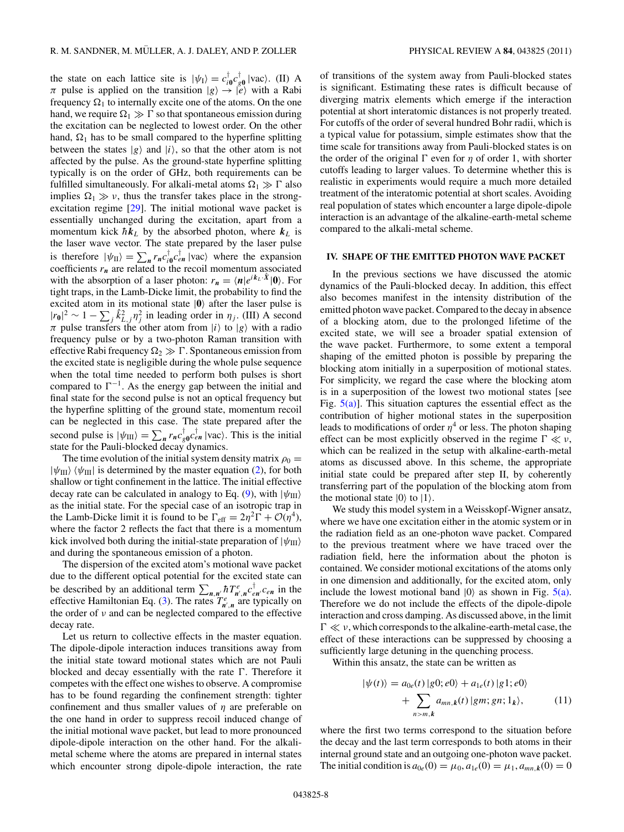<span id="page-7-0"></span>the state on each lattice site is  $|\psi_1\rangle = c_{i0}^{\dagger} c_{g0}^{\dagger} |vac\rangle$ . (II) A  $\pi$  pulse is applied on the transition  $|g\rangle \rightarrow |e\rangle$  with a Rabi frequency  $\Omega_1$  to internally excite one of the atoms. On the one hand, we require  $\Omega_1 \gg \Gamma$  so that spontaneous emission during the excitation can be neglected to lowest order. On the other hand,  $\Omega_1$  has to be small compared to the hyperfine splitting between the states  $|g\rangle$  and  $|i\rangle$ , so that the other atom is not affected by the pulse. As the ground-state hyperfine splitting typically is on the order of GHz, both requirements can be fulfilled simultaneously. For alkali-metal atoms  $\Omega_1 \gg \Gamma$  also implies  $\Omega_1 \gg \nu$ , thus the transfer takes place in the strongexcitation regime [\[29\]](#page-10-0). The initial motional wave packet is essentially unchanged during the excitation, apart from a momentum kick  $\hbar k_L$  by the absorbed photon, where  $k_L$  is the laser wave vector. The state prepared by the laser pulse is therefore  $|\psi_{II}\rangle = \sum_{n} r_n c_{i0}^{\dagger} c_{en}^{\dagger} |vac\rangle$  where the expansion coefficients  $r_n$  are related to the recoil momentum associated with the absorption of a laser photon:  $r_n = \langle n | e^{i k_L \cdot \hat{X}} | 0 \rangle$ . For tight traps, in the Lamb-Dicke limit, the probability to find the excited atom in its motional state  $|0\rangle$  after the laser pulse is  $|r_0|^2 \sim 1 - \sum_j \hat{k}_{L,j}^2 \eta_j^2$  in leading order in  $\eta_j$ . (III) A second *π* pulse transfers the other atom from  $|i\rangle$  to  $|g\rangle$  with a radio frequency pulse or by a two-photon Raman transition with effective Rabi frequency  $\Omega_2 \gg \Gamma$ . Spontaneous emission from the excited state is negligible during the whole pulse sequence when the total time needed to perform both pulses is short compared to  $\Gamma^{-1}$ . As the energy gap between the initial and final state for the second pulse is not an optical frequency but the hyperfine splitting of the ground state, momentum recoil can be neglected in this case. The state prepared after the second pulse is  $|\psi_{III}\rangle = \sum_{n} r_n c_{g0}^{\dagger} c_{en}^{\dagger} |vac\rangle$ . This is the initial state for the Pauli-blocked decay dynamics.

The time evolution of the initial system density matrix  $\rho_0 =$  $|\psi_{III}\rangle$   $\langle\psi_{III}|$  is determined by the master equation [\(2\)](#page-3-0), for both shallow or tight confinement in the lattice. The initial effective decay rate can be calculated in analogy to Eq. [\(9\)](#page-4-0), with  $|\psi_{III}\rangle$ as the initial state. For the special case of an isotropic trap in the Lamb-Dicke limit it is found to be  $\Gamma_{\text{eff}} = 2\eta^2 \Gamma + \mathcal{O}(\eta^4)$ , where the factor 2 reflects the fact that there is a momentum kick involved both during the initial-state preparation of  $|\psi_{III}\rangle$ and during the spontaneous emission of a photon.

The dispersion of the excited atom's motional wave packet due to the different optical potential for the excited state can be described by an additional term  $\sum_{n,n'} \hbar T_{n',n}^e c_{en}^{\dagger} c_{en}$  in the effective Hamiltonian Eq. [\(3\)](#page-3-0). The rates  $T_{n',n}^e$  are typically on the order of *ν* and can be neglected compared to the effective decay rate.

Let us return to collective effects in the master equation. The dipole-dipole interaction induces transitions away from the initial state toward motional states which are not Pauli blocked and decay essentially with the rate  $\Gamma$ . Therefore it competes with the effect one wishes to observe. A compromise has to be found regarding the confinement strength: tighter confinement and thus smaller values of *η* are preferable on the one hand in order to suppress recoil induced change of the initial motional wave packet, but lead to more pronounced dipole-dipole interaction on the other hand. For the alkalimetal scheme where the atoms are prepared in internal states which encounter strong dipole-dipole interaction, the rate

of transitions of the system away from Pauli-blocked states is significant. Estimating these rates is difficult because of diverging matrix elements which emerge if the interaction potential at short interatomic distances is not properly treated. For cutoffs of the order of several hundred Bohr radii, which is a typical value for potassium, simple estimates show that the time scale for transitions away from Pauli-blocked states is on the order of the original  $\Gamma$  even for  $\eta$  of order 1, with shorter cutoffs leading to larger values. To determine whether this is realistic in experiments would require a much more detailed treatment of the interatomic potential at short scales. Avoiding real population of states which encounter a large dipole-dipole interaction is an advantage of the alkaline-earth-metal scheme compared to the alkali-metal scheme.

## **IV. SHAPE OF THE EMITTED PHOTON WAVE PACKET**

In the previous sections we have discussed the atomic dynamics of the Pauli-blocked decay. In addition, this effect also becomes manifest in the intensity distribution of the emitted photon wave packet. Compared to the decay in absence of a blocking atom, due to the prolonged lifetime of the excited state, we will see a broader spatial extension of the wave packet. Furthermore, to some extent a temporal shaping of the emitted photon is possible by preparing the blocking atom initially in a superposition of motional states. For simplicity, we regard the case where the blocking atom is in a superposition of the lowest two motional states [see Fig.  $5(a)$ ]. This situation captures the essential effect as the contribution of higher motional states in the superposition leads to modifications of order  $\eta^4$  or less. The photon shaping effect can be most explicitly observed in the regime  $\Gamma \ll \nu$ , which can be realized in the setup with alkaline-earth-metal atoms as discussed above. In this scheme, the appropriate initial state could be prepared after step II, by coherently transferring part of the population of the blocking atom from the motional state  $|0\rangle$  to  $|1\rangle$ .

We study this model system in a Weisskopf-Wigner ansatz, where we have one excitation either in the atomic system or in the radiation field as an one-photon wave packet. Compared to the previous treatment where we have traced over the radiation field, here the information about the photon is contained. We consider motional excitations of the atoms only in one dimension and additionally, for the excited atom, only include the lowest motional band  $|0\rangle$  as shown in Fig.  $5(a)$ . Therefore we do not include the effects of the dipole-dipole interaction and cross damping. As discussed above, in the limit  $Γ \ll v$ , which corresponds to the alkaline-earth-metal case, the effect of these interactions can be suppressed by choosing a sufficiently large detuning in the quenching process.

Within this ansatz, the state can be written as

$$
|\psi(t)\rangle = a_{0e}(t) |g0; e0\rangle + a_{1e}(t) |g1; e0\rangle
$$
  
+ 
$$
\sum_{n>m,k} a_{mn,k}(t) |gm; gn; 1_k\rangle,
$$
 (11)

where the first two terms correspond to the situation before the decay and the last term corresponds to both atoms in their internal ground state and an outgoing one-photon wave packet. The initial condition is  $a_{0e}(0) = \mu_0, a_{1e}(0) = \mu_1, a_{mn,k}(0) = 0$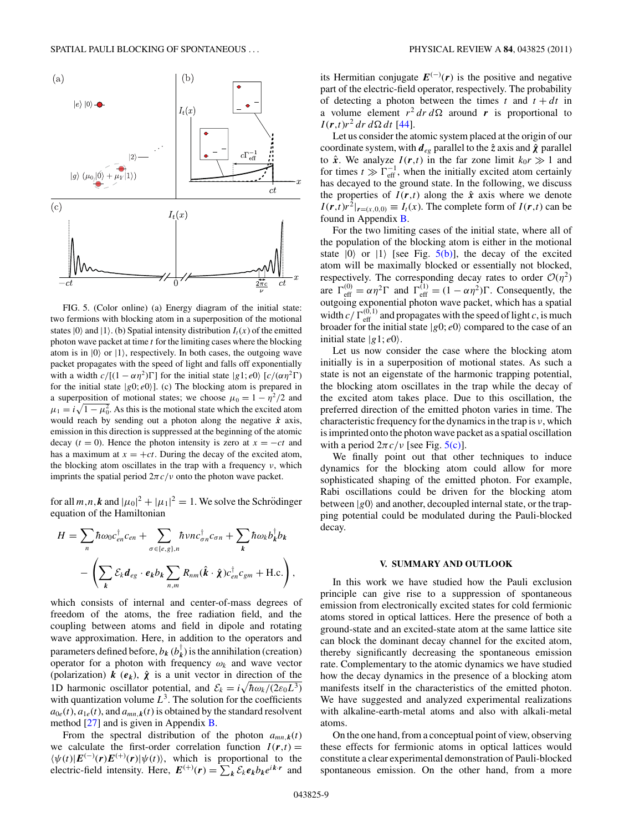<span id="page-8-0"></span>

FIG. 5. (Color online) (a) Energy diagram of the initial state: two fermions with blocking atom in a superposition of the motional states  $|0\rangle$  and  $|1\rangle$ . (b) Spatial intensity distribution  $I_t(x)$  of the emitted photon wave packet at time *t* for the limiting cases where the blocking atom is in  $|0\rangle$  or  $|1\rangle$ , respectively. In both cases, the outgoing wave packet propagates with the speed of light and falls off exponentially with a width  $c/[(1 - \alpha \eta^2) \Gamma]$  for the initial state  $|g_1; e_0\rangle$  [ $c/(\alpha \eta^2 \Gamma)$ ] for the initial state  $|g0; e0\rangle$ ]. (c) The blocking atom is prepared in a superposition of motional states; we choose  $\mu_0 = 1 - \eta^2/2$  and  $\mu_1 = i \sqrt{1 - \mu_0^2}$ . As this is the motional state which the excited atom would reach by sending out a photon along the negative *x*ˆ axis, emission in this direction is suppressed at the beginning of the atomic decay  $(t = 0)$ . Hence the photon intensity is zero at  $x = -ct$  and has a maximum at  $x = +ct$ . During the decay of the excited atom, the blocking atom oscillates in the trap with a frequency *ν*, which imprints the spatial period  $2\pi c/v$  onto the photon wave packet.

for all  $m,n,k$  and  $|\mu_0|^2 + |\mu_1|^2 = 1$ . We solve the Schrödinger equation of the Hamiltonian

$$
H = \sum_{n} \hbar \omega_0 c_{en}^{\dagger} c_{en} + \sum_{\sigma \in \{e,g\},n} \hbar \nu n c_{\sigma n}^{\dagger} c_{\sigma n} + \sum_{k} \hbar \omega_k b_k^{\dagger} b_k
$$

$$
- \left( \sum_{k} \mathcal{E}_k d_{eg} \cdot e_k b_k \sum_{n,m} R_{nm} (\hat{k} \cdot \hat{\chi}) c_{en}^{\dagger} c_{gm} + \text{H.c.} \right),
$$

which consists of internal and center-of-mass degrees of freedom of the atoms, the free radiation field, and the coupling between atoms and field in dipole and rotating wave approximation. Here, in addition to the operators and parameters defined before,  $b_k$  ( $b_k^{\dagger}$ ) is the annihilation (creation) operator for a photon with frequency *ωk* and wave vector (polarization)  $k$  ( $e_k$ ),  $\hat{\chi}$  is a unit vector in direction of the 1D harmonic oscillator potential, and  $\mathcal{E}_k = i \sqrt{\hbar \omega_k/(2\varepsilon_0 L^3)}$ with quantization volume  $L<sup>3</sup>$ . The solution for the coefficients  $a_{0e}(t)$ ,  $a_{1e}(t)$ , and  $a_{mn,k}(t)$  is obtained by the standard resolvent method [\[27\]](#page-10-0) and is given in Appendix [B.](#page-9-0)

From the spectral distribution of the photon  $a_{mn,k}(t)$ we calculate the first-order correlation function  $I(r,t)$  =  $\langle \psi(t)|E^{(-)}(r)E^{(+)}(r)|\psi(t)\rangle$ , which is proportional to the electric-field intensity. Here,  $E^{(+)}(r) = \sum_{k} \mathcal{E}_{k} e_{k} b_{k} e^{ik \cdot r}$  and

its Hermitian conjugate  $E^{(-)}(r)$  is the positive and negative part of the electric-field operator, respectively. The probability of detecting a photon between the times  $t$  and  $t + dt$  in a volume element  $r^2 dr d\Omega$  around **r** is proportional to  $I(r,t)r^2 dr d\Omega dt$  [\[44\]](#page-10-0).

Let us consider the atomic system placed at the origin of our coordinate system, with  $d_{eg}$  parallel to the  $\hat{z}$  axis and  $\hat{\chi}$  parallel to  $\hat{x}$ . We analyze  $I(r,t)$  in the far zone limit  $k_0r \gg 1$  and for times  $t \gg \Gamma_{\text{eff}}^{-1}$ , when the initially excited atom certainly has decayed to the ground state. In the following, we discuss the properties of  $I(r,t)$  along the  $\hat{x}$  axis where we denote  $I(\mathbf{r},t)\mathbf{r}^2|_{\mathbf{r}=(x,0,0)} \equiv I_t(x)$ . The complete form of  $I(\mathbf{r},t)$  can be found in Appendix [B.](#page-9-0)

For the two limiting cases of the initial state, where all of the population of the blocking atom is either in the motional state  $|0\rangle$  or  $|1\rangle$  [see Fig. 5(b)], the decay of the excited atom will be maximally blocked or essentially not blocked, respectively. The corresponding decay rates to order  $O(\eta^2)$ are  $\Gamma_{\text{eff}}^{(0)} = \alpha \eta^2 \Gamma$  and  $\Gamma_{\text{eff}}^{(1)} = (1 - \alpha \eta^2) \Gamma$ . Consequently, the outgoing exponential photon wave packet, which has a spatial width  $c / \Gamma_{\text{eff}}^{(0,1)}$  and propagates with the speed of light *c*, is much broader for the initial state  $|g0; e0\rangle$  compared to the case of an initial state  $|g1; e0\rangle$ .

Let us now consider the case where the blocking atom initially is in a superposition of motional states. As such a state is not an eigenstate of the harmonic trapping potential, the blocking atom oscillates in the trap while the decay of the excited atom takes place. Due to this oscillation, the preferred direction of the emitted photon varies in time. The characteristic frequency for the dynamics in the trap is *ν*, which is imprinted onto the photon wave packet as a spatial oscillation with a period  $2\pi c/v$  [see Fig. 5(c)].

We finally point out that other techniques to induce dynamics for the blocking atom could allow for more sophisticated shaping of the emitted photon. For example, Rabi oscillations could be driven for the blocking atom between  $|g0\rangle$  and another, decoupled internal state, or the trapping potential could be modulated during the Pauli-blocked decay.

#### **V. SUMMARY AND OUTLOOK**

In this work we have studied how the Pauli exclusion principle can give rise to a suppression of spontaneous emission from electronically excited states for cold fermionic atoms stored in optical lattices. Here the presence of both a ground-state and an excited-state atom at the same lattice site can block the dominant decay channel for the excited atom, thereby significantly decreasing the spontaneous emission rate. Complementary to the atomic dynamics we have studied how the decay dynamics in the presence of a blocking atom manifests itself in the characteristics of the emitted photon. We have suggested and analyzed experimental realizations with alkaline-earth-metal atoms and also with alkali-metal atoms.

On the one hand, from a conceptual point of view, observing these effects for fermionic atoms in optical lattices would constitute a clear experimental demonstration of Pauli-blocked spontaneous emission. On the other hand, from a more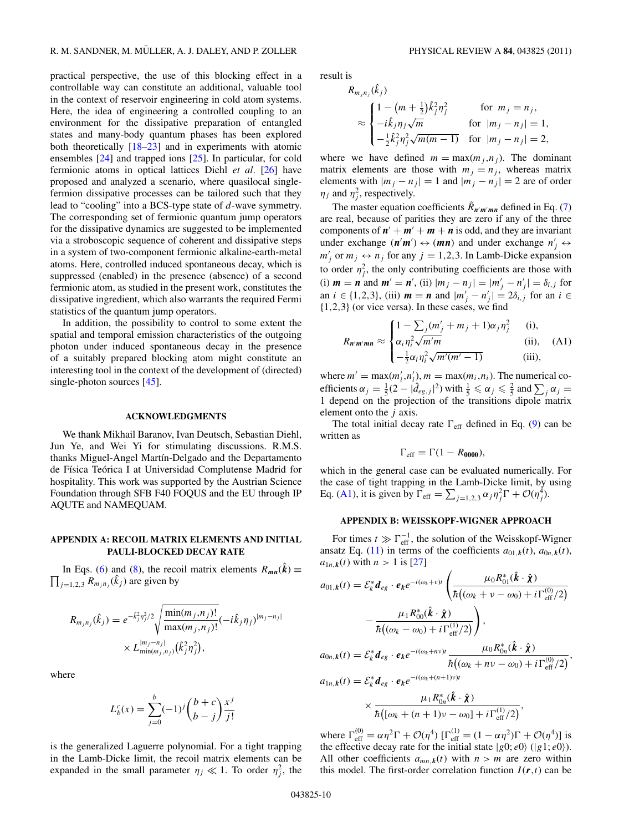<span id="page-9-0"></span>practical perspective, the use of this blocking effect in a controllable way can constitute an additional, valuable tool in the context of reservoir engineering in cold atom systems. Here, the idea of engineering a controlled coupling to an environment for the dissipative preparation of entangled states and many-body quantum phases has been explored both theoretically [\[18–23\]](#page-10-0) and in experiments with atomic ensembles [\[24\]](#page-10-0) and trapped ions [\[25\]](#page-10-0). In particular, for cold fermionic atoms in optical lattices Diehl *et al.* [\[26\]](#page-10-0) have proposed and analyzed a scenario, where quasilocal singlefermion dissipative processes can be tailored such that they lead to "cooling" into a BCS-type state of *d*-wave symmetry. The corresponding set of fermionic quantum jump operators for the dissipative dynamics are suggested to be implemented via a stroboscopic sequence of coherent and dissipative steps in a system of two-component fermionic alkaline-earth-metal atoms. Here, controlled induced spontaneous decay, which is suppressed (enabled) in the presence (absence) of a second fermionic atom, as studied in the present work, constitutes the dissipative ingredient, which also warrants the required Fermi statistics of the quantum jump operators.

In addition, the possibility to control to some extent the spatial and temporal emission characteristics of the outgoing photon under induced spontaneous decay in the presence of a suitably prepared blocking atom might constitute an interesting tool in the context of the development of (directed) single-photon sources [\[45\]](#page-10-0).

## **ACKNOWLEDGMENTS**

We thank Mikhail Baranov, Ivan Deutsch, Sebastian Diehl, Jun Ye, and Wei Yi for stimulating discussions. R.M.S. thanks Miguel-Angel Martín-Delgado and the Departamento de Física Teórica I at Universidad Complutense Madrid for hospitality. This work was supported by the Austrian Science Foundation through SFB F40 FOQUS and the EU through IP AQUTE and NAMEQUAM.

### **APPENDIX A: RECOIL MATRIX ELEMENTS AND INITIAL PAULI-BLOCKED DECAY RATE**

In Eqs. [\(6\)](#page-3-0) and [\(8\)](#page-3-0), the recoil matrix elements  $R_{mn}(\hat{k}) \equiv$  $\prod_{j=1,2,3} R_{m_j n_j}(\hat{k}_j)$  are given by

$$
R_{m_j n_j}(\hat{k}_j) = e^{-\hat{k}_j^2 \eta_j^2/2} \sqrt{\frac{\min(m_j, n_j)!}{\max(m_j, n_j)!}} (-i\hat{k}_j \eta_j)^{|m_j - n_j|} \times L_{\min(m_j, n_j)}^{|m_j - n_j|}(\hat{k}_j^2 \eta_j^2),
$$

where

$$
L_b^c(x) = \sum_{j=0}^b (-1)^j {b+c \choose b-j} \frac{x^j}{j!}
$$

is the generalized Laguerre polynomial. For a tight trapping in the Lamb-Dicke limit, the recoil matrix elements can be expanded in the small parameter  $\eta_j \ll 1$ . To order  $\eta_j^2$ , the result is

$$
R_{m_j n_j}(\hat{k}_j)
$$
  
\n
$$
\approx \begin{cases}\n1 - (m + \frac{1}{2})\hat{k}_j^2 \eta_j^2 & \text{for } m_j = n_j, \\
-i\hat{k}_j \eta_j \sqrt{m} & \text{for } |m_j - n_j| = 1, \\
-\frac{1}{2}\hat{k}_j^2 \eta_j^2 \sqrt{m(m-1)} & \text{for } |m_j - n_j| = 2,\n\end{cases}
$$

where we have defined  $m = \max(m_j, n_j)$ . The dominant matrix elements are those with  $m_j = n_j$ , whereas matrix elements with  $|m_j - n_j| = 1$  and  $|m_j - n_j| = 2$  are of order  $\eta_j$  and  $\eta_j^2$ , respectively.

The master equation coefficients  $\tilde{R}_{n'm'mn}$  defined in Eq. [\(7\)](#page-3-0) are real, because of parities they are zero if any of the three components of  $n' + m' + m + n$  is odd, and they are invariant under exchange  $(n'm') \leftrightarrow (mn)$  and under exchange  $n'_j \leftrightarrow$  $m'_j$  or  $m_j \leftrightarrow n_j$  for any  $j = 1, 2, 3$ . In Lamb-Dicke expansion to order  $\eta_j^2$ , the only contributing coefficients are those with (i)  $m = n$  and  $m' = n'$ , (ii)  $|m_j - n_j| = |m'_j - n'_j| = \delta_{i,j}$  for an  $i \in \{1, 2, 3\}$ , (iii)  $m = n$  and  $|m'_j - n'_j| = 2\delta_{i,j}$  for an  $i \in$ {1*,*2*,*3} (or vice versa). In these cases, we find

$$
R_{n'm'mn} \approx \begin{cases} 1 - \sum_{j} (m'_j + m_j + 1)\alpha_j \eta_j^2 & \text{(i)},\\ \alpha_i \eta_i^2 \sqrt{m'm} & \text{(ii)},\\ -\frac{1}{2} \alpha_i \eta_i^2 \sqrt{m'(m'-1)} & \text{(iii)}, \end{cases}
$$

where  $m' = \max(m'_i, n'_i)$ ,  $m = \max(m_i, n_i)$ . The numerical coefficients  $\alpha_j = \frac{1}{5}(2 - |\hat{d}_{eg,j}|^2)$  with  $\frac{1}{5} \le \alpha_j \le \frac{2}{5}$  and  $\sum_j \alpha_j =$ 1 depend on the projection of the transitions dipole matrix element onto the *j* axis.

The total initial decay rate  $\Gamma_{\text{eff}}$  defined in Eq. [\(9\)](#page-4-0) can be written as

$$
\Gamma_{\rm eff} = \Gamma(1 - R_{0000}),
$$

which in the general case can be evaluated numerically. For the case of tight trapping in the Lamb-Dicke limit, by using Eq. (A1), it is given by  $\Gamma_{\text{eff}} = \sum_{j=1,2,3} \alpha_j \eta_j^2 \Gamma + \mathcal{O}(\eta_j^4)$ .

## **APPENDIX B: WEISSKOPF-WIGNER APPROACH**

For times  $t \gg \Gamma_{\text{eff}}^{-1}$ , the solution of the Weisskopf-Wigner ansatz Eq. [\(11\)](#page-7-0) in terms of the coefficients  $a_{01,k}(t)$ ,  $a_{0n,k}(t)$ ,  $a_{1n,k}(t)$  with  $n > 1$  is [\[27\]](#page-10-0)

$$
a_{01,k}(t) = \mathcal{E}_{k}^{*} d_{eg} \cdot e_{k} e^{-i(\omega_{k} + v)t} \left( \frac{\mu_{0} R_{01}^{*} (\hat{\boldsymbol{k}} \cdot \hat{\boldsymbol{\chi}})}{\hbar ((\omega_{k} + v - \omega_{0}) + i \Gamma_{\text{eff}}^{(0)}/2)} - \frac{\mu_{1} R_{00}^{*} (\hat{\boldsymbol{k}} \cdot \hat{\boldsymbol{\chi}})}{\hbar ((\omega_{k} - \omega_{0}) + i \Gamma_{\text{eff}}^{(1)}/2)} \right),
$$
  

$$
a_{0n,k}(t) = \mathcal{E}_{k}^{*} d_{eg} \cdot e_{k} e^{-i(\omega_{k} + n v)t} \frac{\mu_{0} R_{0n}^{*} (\hat{\boldsymbol{k}} \cdot \hat{\boldsymbol{\chi}})}{\hbar ((\omega_{k} + n v - \omega_{0}) + i \Gamma_{\text{eff}}^{(0)}/2)},
$$
  

$$
a_{1n,k}(t) = \mathcal{E}_{k}^{*} d_{eg} \cdot e_{k} e^{-i(\omega_{k} + (n+1)v)t} \times \frac{\mu_{1} R_{0n}^{*} (\hat{\boldsymbol{k}} \cdot \hat{\boldsymbol{\chi}})}{\hbar ((\omega_{k} + (n+1)v - \omega_{0}) + i \Gamma_{\text{eff}}^{(1)}/2)},
$$

where  $\Gamma_{\text{eff}}^{(0)} = \alpha \eta^2 \Gamma + \mathcal{O}(\eta^4) [\Gamma_{\text{eff}}^{(1)} = (1 - \alpha \eta^2) \Gamma + \mathcal{O}(\eta^4)]$  is the effective decay rate for the initial state  $|g0; e0\rangle$  ( $|g1; e0\rangle$ ). All other coefficients  $a_{mn,k}(t)$  with  $n > m$  are zero within this model. The first-order correlation function  $I(r,t)$  can be